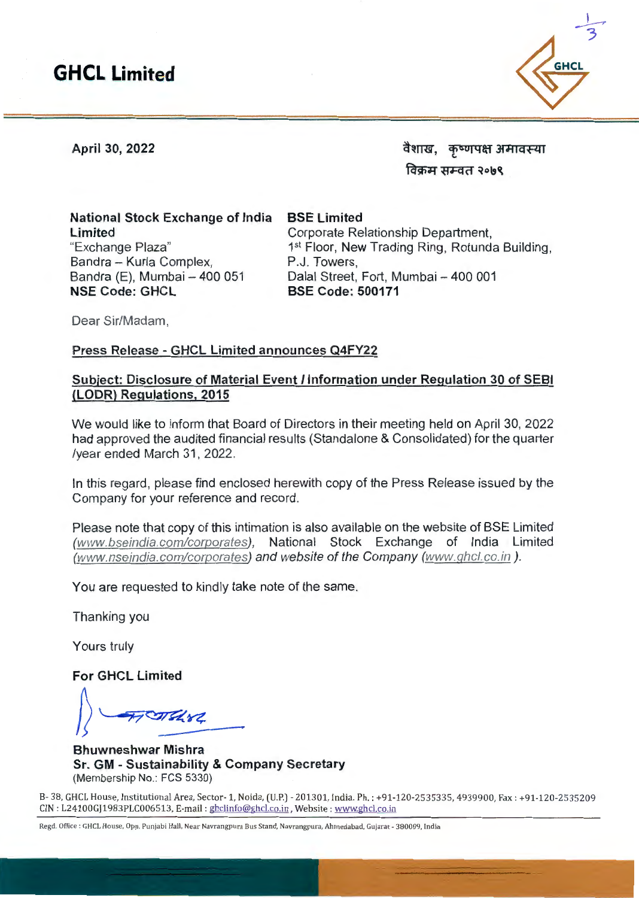

**April 30, 2022** 

वैशाख, कृष्णपक्ष अमावस्या विक्रम सम्वत २**०**७९

**National Stock Exchange of India Limited**  "Exchange Plaza" Bandra - Kurla Complex, Bandra (E), Mumbai -- 400 051 **NSE Code: GHCL** 

**BSE Limited**  Corporate Relationship Department, 1<sup>st</sup> Floor, New Trading Ring, Rotunda Building, P.J. Towers, Dalal Street, Fort, Mumbai - 400 001 **BSE Code: 500171** 

Dear Sir/Madam,

#### **Press Release - GHCL Limited announces Q4FY22**

#### **Subject: Disclosure of Material Event/ Information under Regulation 30 of SEBI (LODR) Regulations, 2015**

We would like to inform that Board of Directors in their meeting held on April 30, 2022 had approved the audited financial results (Standalone & Consolidated) for the quarter /year ended March 31 , 2022.

In this regard, please find enclosed herewith copy of the Press Release issued by the Company for your reference and record.

Please note that copy of this intimation is also available on the website of BSE Limited (www.bseindia.com/corporates), National Stock Exchange of India Limited (www.nseindia.com/corporates) and website of the Company (www.qhcl.co.in ).

You are requested to kindly take note of the same.

Thanking you

Yours truly

**For GHCL Limited** 

 $\blacksquare$ 

**Bhuwneshwar Mishra Sr. GM - Sustainability & Company Secretary**  (Membership No.: FCS 5330)

B- 38, GHCL House, Institutional Area, Sector- 1, Noida, (U.P.) - 201301, India. Ph.: +91-120-2535335, 4939900, Fax: +91-120-2535209 CIN : L24100GJ1983PLC006513, E-mail : ghclinfo@ghcl.co.in, Website : www.ghcl.co.in

Regd. Office: GHCL House, Opp. Punjabi Hall, Near Navrangpura Bus Stand, Navrangpura, Ahmedabad, Gujarat - 380009, India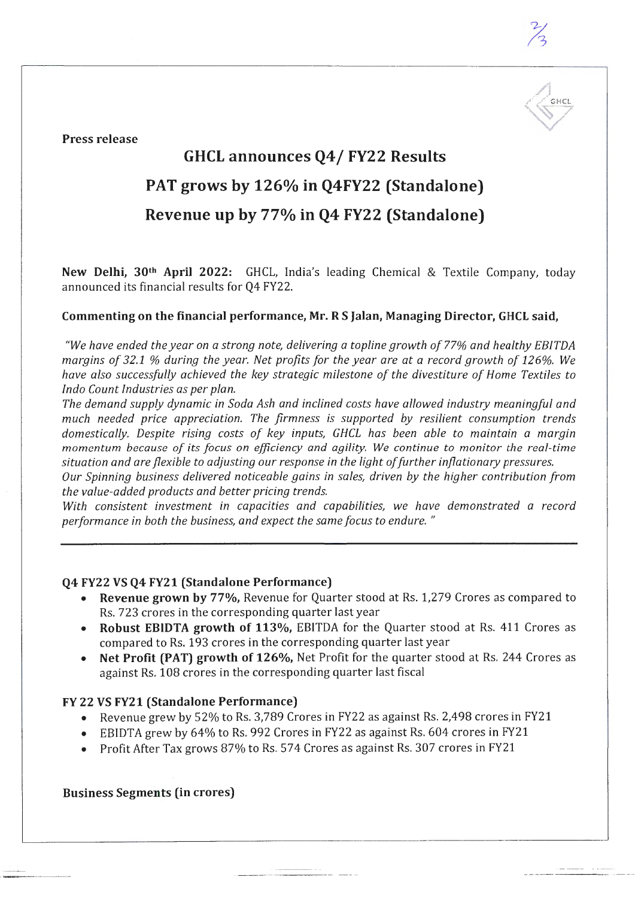

**Press release** 

# **GHCL announces Q4/ FY22 Results**

## **PAT grows by 126°/o in Q4FY22 (Standalone)**

## **Revenue up by 77°/o in Q4 FY22 (Standalone)**

**New Delhi, 3Qth April 2022:** GHCL, India's leading Chemical & Textile Company, today announced its financial results for Q4 FY22.

### **Commenting on the financial performance, Mr.RS Jalan, Managing Director, GHCL said,**

*"We have ended the year on a strong note, delivering a topline growth of* 77% *and healthy EBITDA margins of 32.1* % *during the year. Net profits for the year are at a record growth of 126%. We have also successfully achieved the key strategic milestone of the divestiture of Home Textiles to Inda Count Industries as per plan.* 

*The demand supply dynamic in Soda Ash and inclined costs have allowed industry meaningful and much needed price appreciation. The firmness* is *supported by resilient consumption trends domestically. Despite rising costs of key inputs, GHCL has been able to maintain a margin momentum because of its focus on efficiency and agility. We continue to monitor the real-time situation and are flexible to adjusting our response in the light of further inflationary pressures.* 

*Our Spinning business delivered noticeable gains in sales, driven by the higher contribution from the value-added products and better pricing trends.* 

*With consistent investment in capacities and capabilities, we have demonstrated a record performance in both the business, and expect the same focus to endure.* "

#### **Q4 FY22 VS Q4 FY21 (Standalone Performance)**

- **Revenue grown by 77%,** Revenue for Quarter stood at Rs. 1,279 Crores as compared to Rs. 723 crores in the corresponding quarter last year
- **Robust EBIDTA growth of 113%,** EBITDA for the Quarter stood at Rs. 411 Crores as compared to Rs. 193 crores in the corresponding quarter last year
- **Net Profit (PAT) growth of 126%,** Net Profit for the quarter stood at Rs. 244 Crores as against Rs. 108 crores in the corresponding quarter last fiscal

#### **FY 22 VS FY21 (Standalone Performance)**

- Revenue grew by 52% to Rs. 3,789 Crores in FY22 as against Rs. 2,498 crores in FY21
- EBIDTA grew by 64% to Rs. 992 Crores in FY22 as against Rs. 604 crores in FY21
- Profit After Tax grows 87% to Rs. 574 Crores as against Rs. 307 crores in FY21

#### **Business Segments (in crores)**